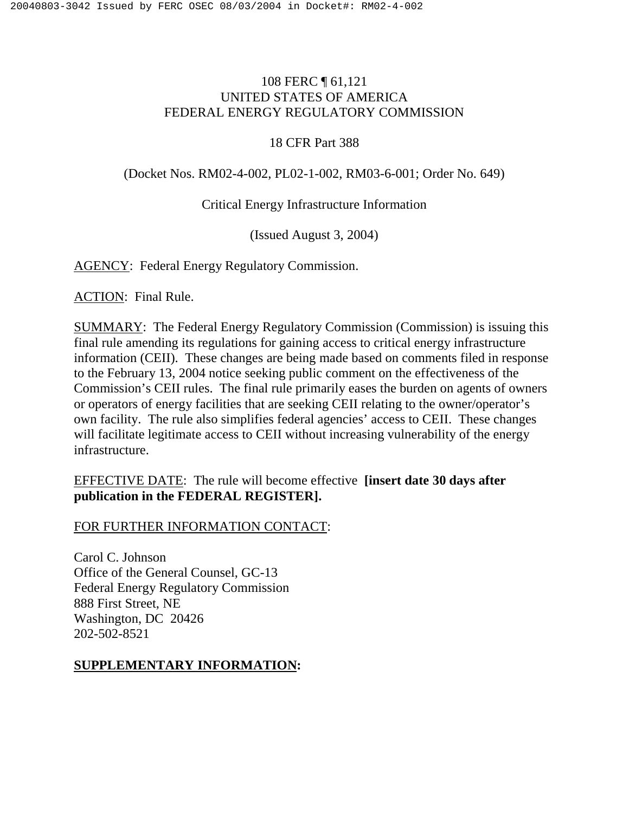# 108 FERC ¶ 61,121 UNITED STATES OF AMERICA FEDERAL ENERGY REGULATORY COMMISSION

### 18 CFR Part 388

## (Docket Nos. RM02-4-002, PL02-1-002, RM03-6-001; Order No. 649)

## Critical Energy Infrastructure Information

(Issued August 3, 2004)

AGENCY: Federal Energy Regulatory Commission.

ACTION: Final Rule.

SUMMARY: The Federal Energy Regulatory Commission (Commission) is issuing this final rule amending its regulations for gaining access to critical energy infrastructure information (CEII). These changes are being made based on comments filed in response to the February 13, 2004 notice seeking public comment on the effectiveness of the Commission's CEII rules. The final rule primarily eases the burden on agents of owners or operators of energy facilities that are seeking CEII relating to the owner/operator's own facility. The rule also simplifies federal agencies' access to CEII. These changes will facilitate legitimate access to CEII without increasing vulnerability of the energy infrastructure.

# EFFECTIVE DATE: The rule will become effective **[insert date 30 days after publication in the FEDERAL REGISTER].**

### FOR FURTHER INFORMATION CONTACT:

Carol C. Johnson Office of the General Counsel, GC-13 Federal Energy Regulatory Commission 888 First Street, NE Washington, DC 20426 202-502-8521

## **SUPPLEMENTARY INFORMATION:**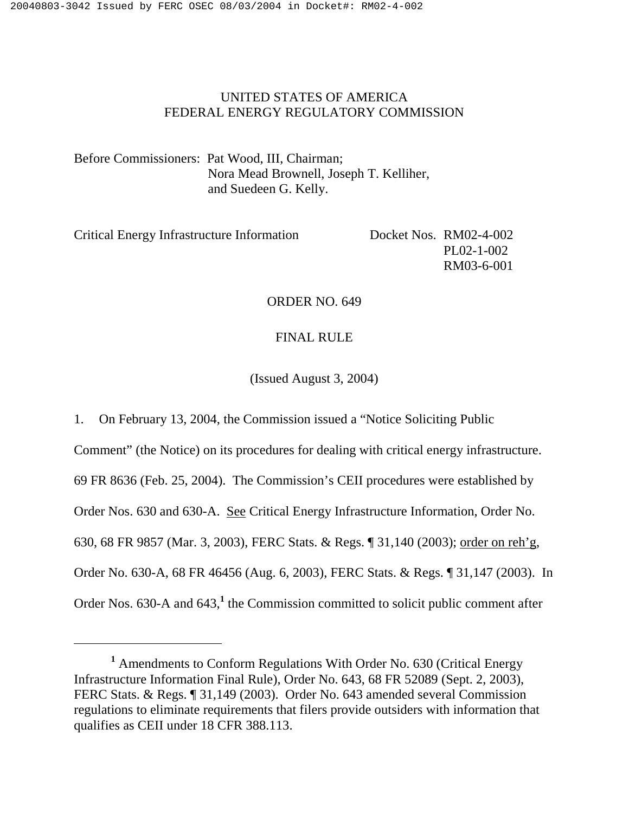## UNITED STATES OF AMERICA FEDERAL ENERGY REGULATORY COMMISSION

Before Commissioners: Pat Wood, III, Chairman; Nora Mead Brownell, Joseph T. Kelliher, and Suedeen G. Kelly.

| $PL02-1-002$           |
|------------------------|
| RM03-6-001             |
| Docket Nos. RM02-4-002 |

#### ORDER NO. 649

#### FINAL RULE

(Issued August 3, 2004)

1. On February 13, 2004, the Commission issued a "Notice Soliciting Public Comment" (the Notice) on its procedures for dealing with critical energy infrastructure. 69 FR 8636 (Feb. 25, 2004). The Commission's CEII procedures were established by Order Nos. 630 and 630-A. See Critical Energy Infrastructure Information, Order No. 630, 68 FR 9857 (Mar. 3, 2003), FERC Stats. & Regs. ¶ 31,140 (2003); order on reh'g, Order No. 630-A, 68 FR 46456 (Aug. 6, 2003), FERC Stats. & Regs. ¶ 31,147 (2003). In Order Nos. 630-A and 643,<sup>1</sup> the Commission committed to solicit public comment after

<sup>&</sup>lt;sup>1</sup> Amendments to Conform Regulations With Order No. 630 (Critical Energy Infrastructure Information Final Rule), Order No. 643, 68 FR 52089 (Sept. 2, 2003), FERC Stats. & Regs. ¶ 31,149 (2003). Order No. 643 amended several Commission regulations to eliminate requirements that filers provide outsiders with information that qualifies as CEII under 18 CFR 388.113.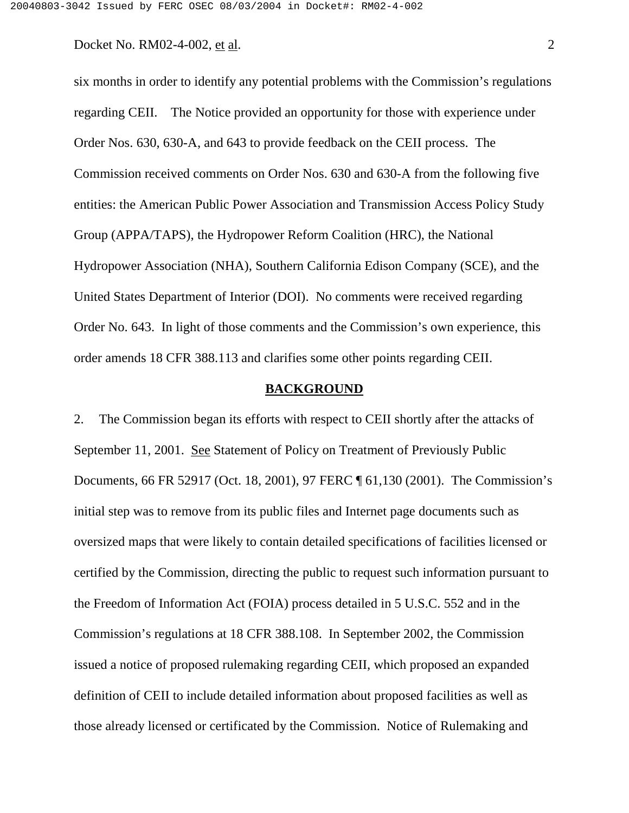six months in order to identify any potential problems with the Commission's regulations regarding CEII. The Notice provided an opportunity for those with experience under Order Nos. 630, 630-A, and 643 to provide feedback on the CEII process. The Commission received comments on Order Nos. 630 and 630-A from the following five entities: the American Public Power Association and Transmission Access Policy Study Group (APPA/TAPS), the Hydropower Reform Coalition (HRC), the National Hydropower Association (NHA), Southern California Edison Company (SCE), and the United States Department of Interior (DOI). No comments were received regarding Order No. 643. In light of those comments and the Commission's own experience, this order amends 18 CFR 388.113 and clarifies some other points regarding CEII.

### **BACKGROUND**

2. The Commission began its efforts with respect to CEII shortly after the attacks of September 11, 2001. See Statement of Policy on Treatment of Previously Public Documents, 66 FR 52917 (Oct. 18, 2001), 97 FERC ¶ 61,130 (2001). The Commission's initial step was to remove from its public files and Internet page documents such as oversized maps that were likely to contain detailed specifications of facilities licensed or certified by the Commission, directing the public to request such information pursuant to the Freedom of Information Act (FOIA) process detailed in 5 U.S.C. 552 and in the Commission's regulations at 18 CFR 388.108. In September 2002, the Commission issued a notice of proposed rulemaking regarding CEII, which proposed an expanded definition of CEII to include detailed information about proposed facilities as well as those already licensed or certificated by the Commission. Notice of Rulemaking and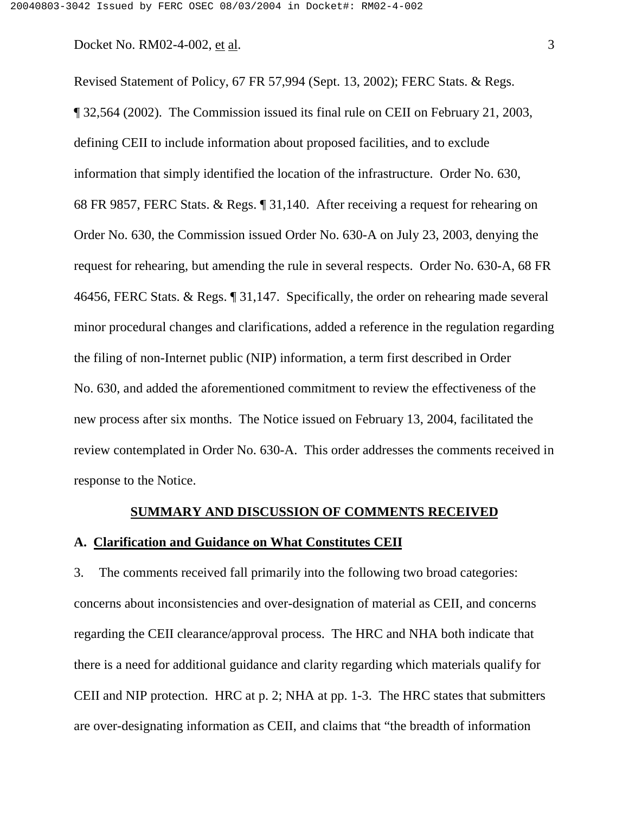Revised Statement of Policy, 67 FR 57,994 (Sept. 13, 2002); FERC Stats. & Regs. ¶ 32,564 (2002). The Commission issued its final rule on CEII on February 21, 2003, defining CEII to include information about proposed facilities, and to exclude information that simply identified the location of the infrastructure. Order No. 630, 68 FR 9857, FERC Stats. & Regs. ¶ 31,140. After receiving a request for rehearing on Order No. 630, the Commission issued Order No. 630-A on July 23, 2003, denying the request for rehearing, but amending the rule in several respects. Order No. 630-A, 68 FR 46456, FERC Stats. & Regs. ¶ 31,147. Specifically, the order on rehearing made several minor procedural changes and clarifications, added a reference in the regulation regarding the filing of non-Internet public (NIP) information, a term first described in Order No. 630, and added the aforementioned commitment to review the effectiveness of the new process after six months. The Notice issued on February 13, 2004, facilitated the review contemplated in Order No. 630-A. This order addresses the comments received in response to the Notice.

#### **SUMMARY AND DISCUSSION OF COMMENTS RECEIVED**

## **A. Clarification and Guidance on What Constitutes CEII**

3. The comments received fall primarily into the following two broad categories: concerns about inconsistencies and over-designation of material as CEII, and concerns regarding the CEII clearance/approval process. The HRC and NHA both indicate that there is a need for additional guidance and clarity regarding which materials qualify for CEII and NIP protection. HRC at p. 2; NHA at pp. 1-3. The HRC states that submitters are over-designating information as CEII, and claims that "the breadth of information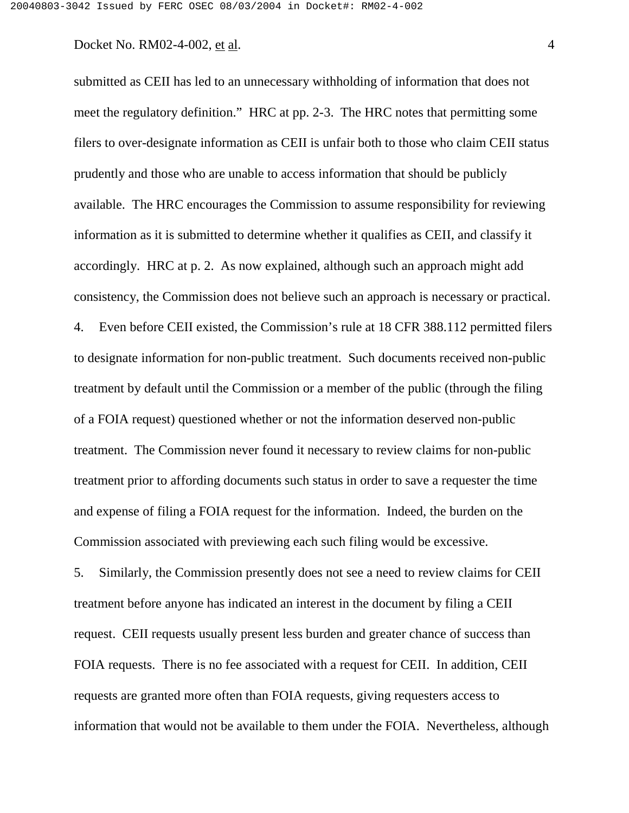submitted as CEII has led to an unnecessary withholding of information that does not meet the regulatory definition." HRC at pp. 2-3. The HRC notes that permitting some filers to over-designate information as CEII is unfair both to those who claim CEII status prudently and those who are unable to access information that should be publicly available. The HRC encourages the Commission to assume responsibility for reviewing information as it is submitted to determine whether it qualifies as CEII, and classify it accordingly. HRC at p. 2. As now explained, although such an approach might add consistency, the Commission does not believe such an approach is necessary or practical. 4. Even before CEII existed, the Commission's rule at 18 CFR 388.112 permitted filers to designate information for non-public treatment. Such documents received non-public treatment by default until the Commission or a member of the public (through the filing of a FOIA request) questioned whether or not the information deserved non-public treatment. The Commission never found it necessary to review claims for non-public treatment prior to affording documents such status in order to save a requester the time and expense of filing a FOIA request for the information. Indeed, the burden on the Commission associated with previewing each such filing would be excessive.

5. Similarly, the Commission presently does not see a need to review claims for CEII treatment before anyone has indicated an interest in the document by filing a CEII request. CEII requests usually present less burden and greater chance of success than FOIA requests. There is no fee associated with a request for CEII. In addition, CEII requests are granted more often than FOIA requests, giving requesters access to information that would not be available to them under the FOIA. Nevertheless, although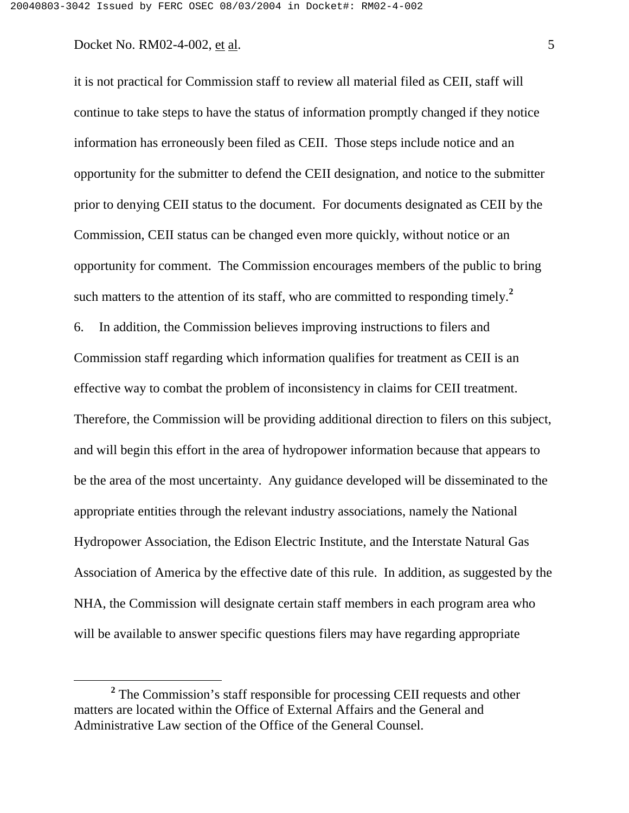it is not practical for Commission staff to review all material filed as CEII, staff will continue to take steps to have the status of information promptly changed if they notice information has erroneously been filed as CEII. Those steps include notice and an opportunity for the submitter to defend the CEII designation, and notice to the submitter prior to denying CEII status to the document. For documents designated as CEII by the Commission, CEII status can be changed even more quickly, without notice or an opportunity for comment. The Commission encourages members of the public to bring such matters to the attention of its staff, who are committed to responding timely.**<sup>2</sup>** 6. In addition, the Commission believes improving instructions to filers and Commission staff regarding which information qualifies for treatment as CEII is an effective way to combat the problem of inconsistency in claims for CEII treatment. Therefore, the Commission will be providing additional direction to filers on this subject, and will begin this effort in the area of hydropower information because that appears to be the area of the most uncertainty. Any guidance developed will be disseminated to the appropriate entities through the relevant industry associations, namely the National Hydropower Association, the Edison Electric Institute, and the Interstate Natural Gas Association of America by the effective date of this rule. In addition, as suggested by the NHA, the Commission will designate certain staff members in each program area who will be available to answer specific questions filers may have regarding appropriate

<sup>&</sup>lt;sup>2</sup> The Commission's staff responsible for processing CEII requests and other matters are located within the Office of External Affairs and the General and Administrative Law section of the Office of the General Counsel.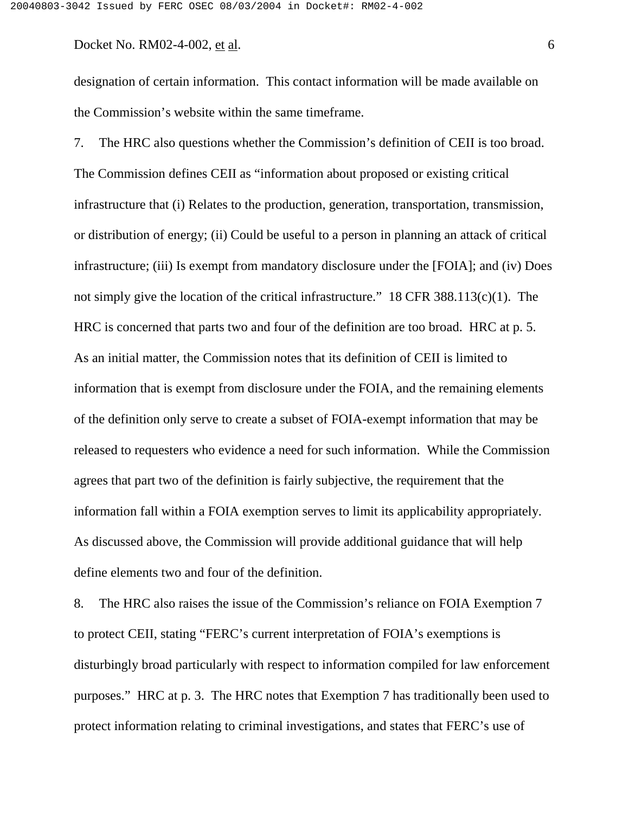designation of certain information. This contact information will be made available on the Commission's website within the same timeframe.

7. The HRC also questions whether the Commission's definition of CEII is too broad. The Commission defines CEII as "information about proposed or existing critical infrastructure that (i) Relates to the production, generation, transportation, transmission, or distribution of energy; (ii) Could be useful to a person in planning an attack of critical infrastructure; (iii) Is exempt from mandatory disclosure under the [FOIA]; and (iv) Does not simply give the location of the critical infrastructure." 18 CFR 388.113(c)(1). The HRC is concerned that parts two and four of the definition are too broad. HRC at p. 5. As an initial matter, the Commission notes that its definition of CEII is limited to information that is exempt from disclosure under the FOIA, and the remaining elements of the definition only serve to create a subset of FOIA-exempt information that may be released to requesters who evidence a need for such information. While the Commission agrees that part two of the definition is fairly subjective, the requirement that the information fall within a FOIA exemption serves to limit its applicability appropriately. As discussed above, the Commission will provide additional guidance that will help define elements two and four of the definition.

8. The HRC also raises the issue of the Commission's reliance on FOIA Exemption 7 to protect CEII, stating "FERC's current interpretation of FOIA's exemptions is disturbingly broad particularly with respect to information compiled for law enforcement purposes." HRC at p. 3. The HRC notes that Exemption 7 has traditionally been used to protect information relating to criminal investigations, and states that FERC's use of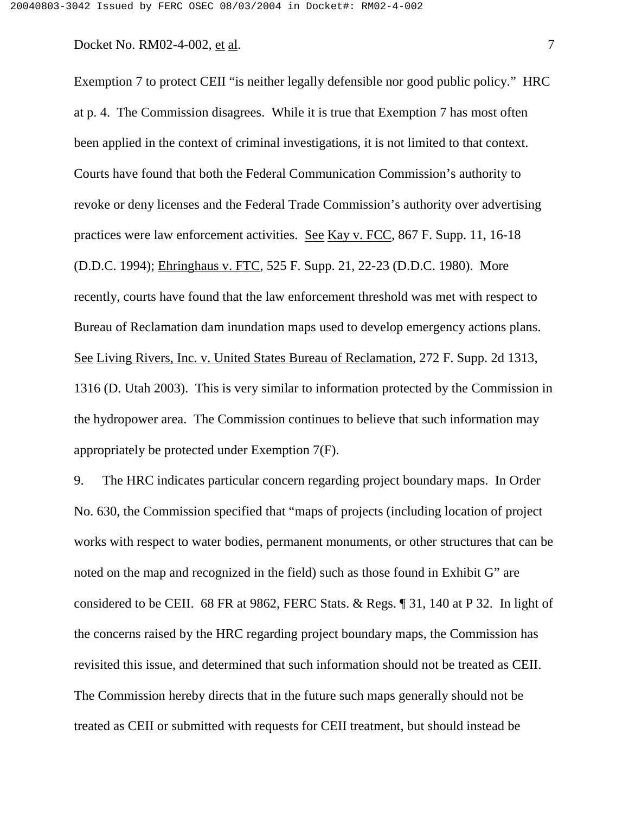Exemption 7 to protect CEII "is neither legally defensible nor good public policy." HRC at p. 4. The Commission disagrees. While it is true that Exemption 7 has most often been applied in the context of criminal investigations, it is not limited to that context. Courts have found that both the Federal Communication Commission's authority to revoke or deny licenses and the Federal Trade Commission's authority over advertising practices were law enforcement activities. See Kay v. FCC, 867 F. Supp. 11, 16-18 (D.D.C. 1994); Ehringhaus v. FTC, 525 F. Supp. 21, 22-23 (D.D.C. 1980). More recently, courts have found that the law enforcement threshold was met with respect to Bureau of Reclamation dam inundation maps used to develop emergency actions plans. See Living Rivers, Inc. v. United States Bureau of Reclamation, 272 F. Supp. 2d 1313, 1316 (D. Utah 2003). This is very similar to information protected by the Commission in the hydropower area. The Commission continues to believe that such information may appropriately be protected under Exemption 7(F).

9. The HRC indicates particular concern regarding project boundary maps. In Order No. 630, the Commission specified that "maps of projects (including location of project works with respect to water bodies, permanent monuments, or other structures that can be noted on the map and recognized in the field) such as those found in Exhibit G" are considered to be CEII. 68 FR at 9862, FERC Stats. & Regs. ¶ 31, 140 at P 32. In light of the concerns raised by the HRC regarding project boundary maps, the Commission has revisited this issue, and determined that such information should not be treated as CEII. The Commission hereby directs that in the future such maps generally should not be treated as CEII or submitted with requests for CEII treatment, but should instead be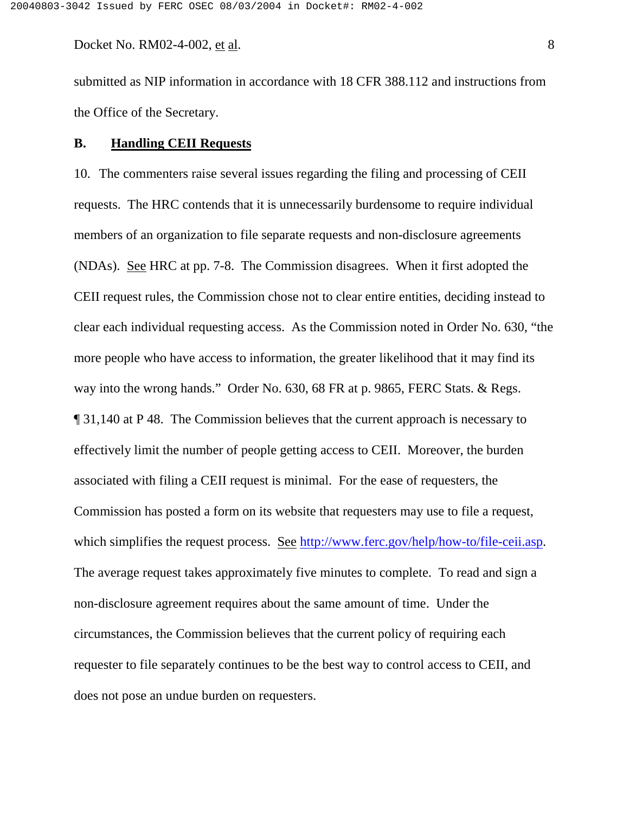submitted as NIP information in accordance with 18 CFR 388.112 and instructions from the Office of the Secretary.

### **B. Handling CEII Requests**

10. The commenters raise several issues regarding the filing and processing of CEII requests. The HRC contends that it is unnecessarily burdensome to require individual members of an organization to file separate requests and non-disclosure agreements (NDAs). See HRC at pp. 7-8. The Commission disagrees. When it first adopted the CEII request rules, the Commission chose not to clear entire entities, deciding instead to clear each individual requesting access. As the Commission noted in Order No. 630, "the more people who have access to information, the greater likelihood that it may find its way into the wrong hands." Order No. 630, 68 FR at p. 9865, FERC Stats. & Regs. ¶ 31,140 at P 48. The Commission believes that the current approach is necessary to effectively limit the number of people getting access to CEII. Moreover, the burden associated with filing a CEII request is minimal. For the ease of requesters, the Commission has posted a form on its website that requesters may use to file a request, which simplifies the request process. See http://www.ferc.gov/help/how-to/file-ceii.asp. The average request takes approximately five minutes to complete. To read and sign a non-disclosure agreement requires about the same amount of time. Under the circumstances, the Commission believes that the current policy of requiring each requester to file separately continues to be the best way to control access to CEII, and does not pose an undue burden on requesters.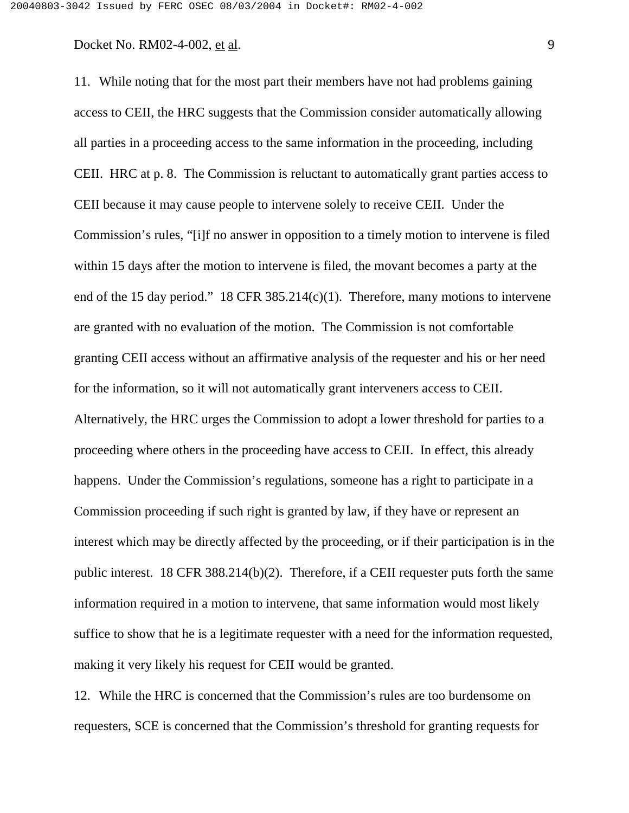11. While noting that for the most part their members have not had problems gaining access to CEII, the HRC suggests that the Commission consider automatically allowing all parties in a proceeding access to the same information in the proceeding, including CEII. HRC at p. 8. The Commission is reluctant to automatically grant parties access to CEII because it may cause people to intervene solely to receive CEII. Under the Commission's rules, "[i]f no answer in opposition to a timely motion to intervene is filed within 15 days after the motion to intervene is filed, the movant becomes a party at the end of the 15 day period." 18 CFR 385.214(c)(1). Therefore, many motions to intervene are granted with no evaluation of the motion. The Commission is not comfortable granting CEII access without an affirmative analysis of the requester and his or her need for the information, so it will not automatically grant interveners access to CEII. Alternatively, the HRC urges the Commission to adopt a lower threshold for parties to a proceeding where others in the proceeding have access to CEII. In effect, this already happens. Under the Commission's regulations, someone has a right to participate in a Commission proceeding if such right is granted by law, if they have or represent an interest which may be directly affected by the proceeding, or if their participation is in the public interest. 18 CFR 388.214(b)(2). Therefore, if a CEII requester puts forth the same information required in a motion to intervene, that same information would most likely suffice to show that he is a legitimate requester with a need for the information requested, making it very likely his request for CEII would be granted.

12. While the HRC is concerned that the Commission's rules are too burdensome on requesters, SCE is concerned that the Commission's threshold for granting requests for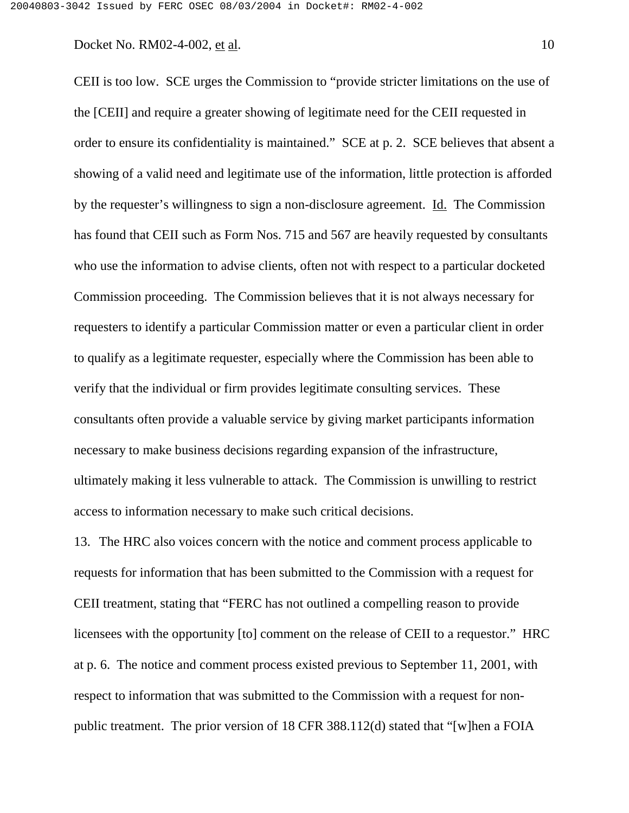CEII is too low. SCE urges the Commission to "provide stricter limitations on the use of the [CEII] and require a greater showing of legitimate need for the CEII requested in order to ensure its confidentiality is maintained." SCE at p. 2. SCE believes that absent a showing of a valid need and legitimate use of the information, little protection is afforded by the requester's willingness to sign a non-disclosure agreement. Id. The Commission has found that CEII such as Form Nos. 715 and 567 are heavily requested by consultants who use the information to advise clients, often not with respect to a particular docketed Commission proceeding. The Commission believes that it is not always necessary for requesters to identify a particular Commission matter or even a particular client in order to qualify as a legitimate requester, especially where the Commission has been able to verify that the individual or firm provides legitimate consulting services. These consultants often provide a valuable service by giving market participants information necessary to make business decisions regarding expansion of the infrastructure, ultimately making it less vulnerable to attack. The Commission is unwilling to restrict access to information necessary to make such critical decisions.

13. The HRC also voices concern with the notice and comment process applicable to requests for information that has been submitted to the Commission with a request for CEII treatment, stating that "FERC has not outlined a compelling reason to provide licensees with the opportunity [to] comment on the release of CEII to a requestor." HRC at p. 6. The notice and comment process existed previous to September 11, 2001, with respect to information that was submitted to the Commission with a request for nonpublic treatment. The prior version of 18 CFR 388.112(d) stated that "[w]hen a FOIA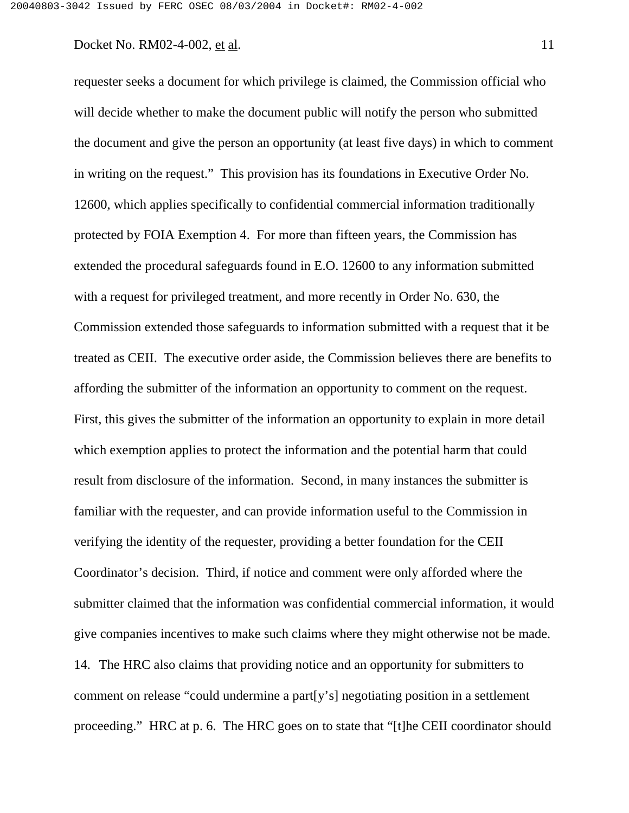requester seeks a document for which privilege is claimed, the Commission official who will decide whether to make the document public will notify the person who submitted the document and give the person an opportunity (at least five days) in which to comment in writing on the request." This provision has its foundations in Executive Order No. 12600, which applies specifically to confidential commercial information traditionally protected by FOIA Exemption 4. For more than fifteen years, the Commission has extended the procedural safeguards found in E.O. 12600 to any information submitted with a request for privileged treatment, and more recently in Order No. 630, the Commission extended those safeguards to information submitted with a request that it be treated as CEII. The executive order aside, the Commission believes there are benefits to affording the submitter of the information an opportunity to comment on the request. First, this gives the submitter of the information an opportunity to explain in more detail which exemption applies to protect the information and the potential harm that could result from disclosure of the information. Second, in many instances the submitter is familiar with the requester, and can provide information useful to the Commission in verifying the identity of the requester, providing a better foundation for the CEII Coordinator's decision. Third, if notice and comment were only afforded where the submitter claimed that the information was confidential commercial information, it would give companies incentives to make such claims where they might otherwise not be made. 14. The HRC also claims that providing notice and an opportunity for submitters to comment on release "could undermine a part[y's] negotiating position in a settlement proceeding." HRC at p. 6. The HRC goes on to state that "[t]he CEII coordinator should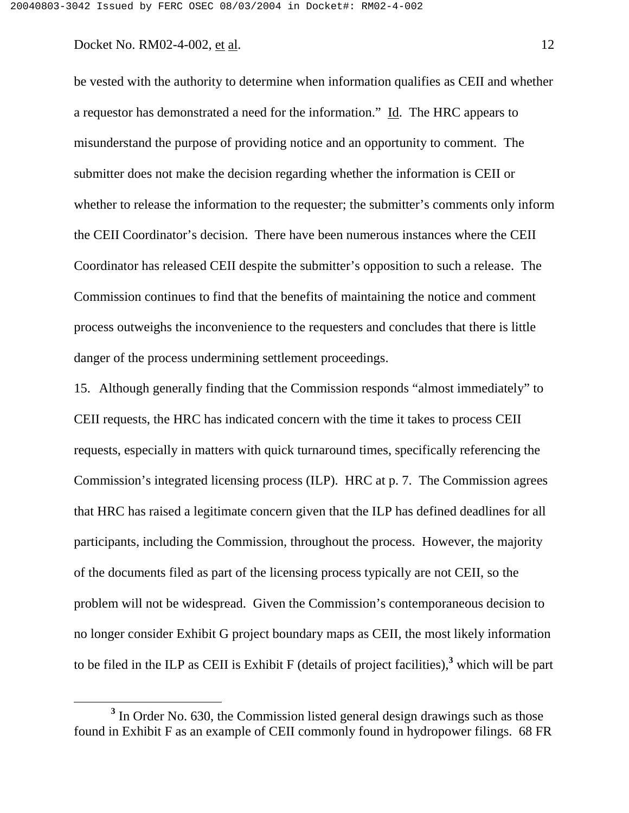be vested with the authority to determine when information qualifies as CEII and whether a requestor has demonstrated a need for the information." Id. The HRC appears to misunderstand the purpose of providing notice and an opportunity to comment. The submitter does not make the decision regarding whether the information is CEII or whether to release the information to the requester; the submitter's comments only inform the CEII Coordinator's decision. There have been numerous instances where the CEII Coordinator has released CEII despite the submitter's opposition to such a release. The Commission continues to find that the benefits of maintaining the notice and comment process outweighs the inconvenience to the requesters and concludes that there is little danger of the process undermining settlement proceedings.

15. Although generally finding that the Commission responds "almost immediately" to CEII requests, the HRC has indicated concern with the time it takes to process CEII requests, especially in matters with quick turnaround times, specifically referencing the Commission's integrated licensing process (ILP). HRC at p. 7. The Commission agrees that HRC has raised a legitimate concern given that the ILP has defined deadlines for all participants, including the Commission, throughout the process. However, the majority of the documents filed as part of the licensing process typically are not CEII, so the problem will not be widespread. Given the Commission's contemporaneous decision to no longer consider Exhibit G project boundary maps as CEII, the most likely information to be filed in the ILP as CEII is Exhibit F (details of project facilities),**<sup>3</sup>** which will be part

<sup>&</sup>lt;sup>3</sup> In Order No. 630, the Commission listed general design drawings such as those found in Exhibit F as an example of CEII commonly found in hydropower filings. 68 FR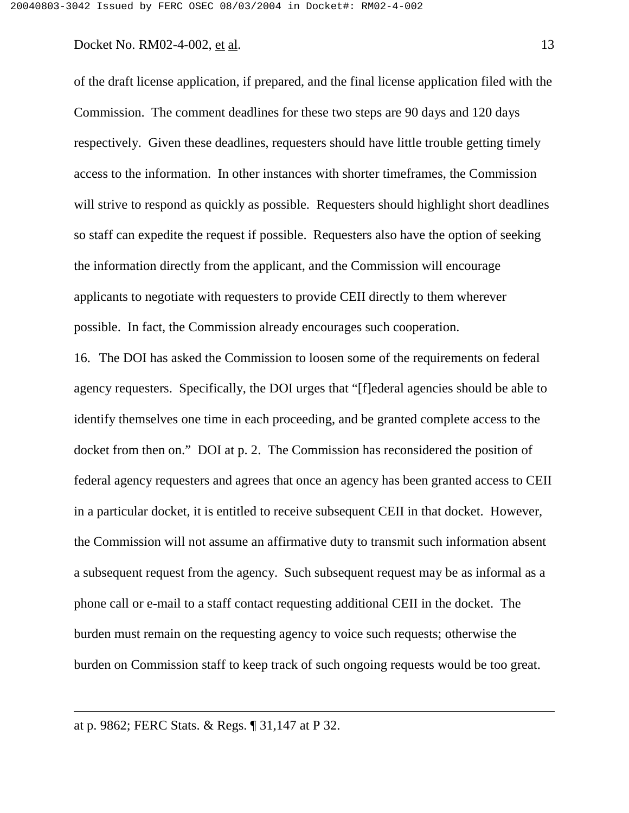of the draft license application, if prepared, and the final license application filed with the Commission. The comment deadlines for these two steps are 90 days and 120 days respectively. Given these deadlines, requesters should have little trouble getting timely access to the information. In other instances with shorter timeframes, the Commission will strive to respond as quickly as possible. Requesters should highlight short deadlines so staff can expedite the request if possible. Requesters also have the option of seeking the information directly from the applicant, and the Commission will encourage applicants to negotiate with requesters to provide CEII directly to them wherever possible. In fact, the Commission already encourages such cooperation.

16. The DOI has asked the Commission to loosen some of the requirements on federal agency requesters. Specifically, the DOI urges that "[f]ederal agencies should be able to identify themselves one time in each proceeding, and be granted complete access to the docket from then on." DOI at p. 2. The Commission has reconsidered the position of federal agency requesters and agrees that once an agency has been granted access to CEII in a particular docket, it is entitled to receive subsequent CEII in that docket. However, the Commission will not assume an affirmative duty to transmit such information absent a subsequent request from the agency. Such subsequent request may be as informal as a phone call or e-mail to a staff contact requesting additional CEII in the docket. The burden must remain on the requesting agency to voice such requests; otherwise the burden on Commission staff to keep track of such ongoing requests would be too great.

at p. 9862; FERC Stats. & Regs. ¶ 31,147 at P 32.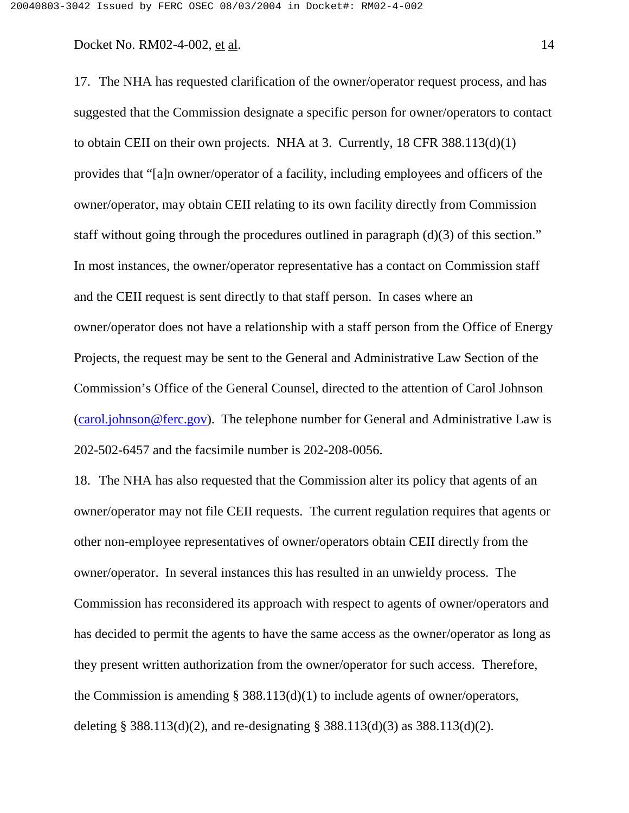17. The NHA has requested clarification of the owner/operator request process, and has suggested that the Commission designate a specific person for owner/operators to contact to obtain CEII on their own projects. NHA at 3. Currently, 18 CFR 388.113(d)(1) provides that "[a]n owner/operator of a facility, including employees and officers of the owner/operator, may obtain CEII relating to its own facility directly from Commission staff without going through the procedures outlined in paragraph (d)(3) of this section." In most instances, the owner/operator representative has a contact on Commission staff and the CEII request is sent directly to that staff person. In cases where an owner/operator does not have a relationship with a staff person from the Office of Energy Projects, the request may be sent to the General and Administrative Law Section of the Commission's Office of the General Counsel, directed to the attention of Carol Johnson (carol.johnson@ferc.gov). The telephone number for General and Administrative Law is 202-502-6457 and the facsimile number is 202-208-0056.

18. The NHA has also requested that the Commission alter its policy that agents of an owner/operator may not file CEII requests. The current regulation requires that agents or other non-employee representatives of owner/operators obtain CEII directly from the owner/operator. In several instances this has resulted in an unwieldy process. The Commission has reconsidered its approach with respect to agents of owner/operators and has decided to permit the agents to have the same access as the owner/operator as long as they present written authorization from the owner/operator for such access. Therefore, the Commission is amending § 388.113(d)(1) to include agents of owner/operators, deleting § 388.113(d)(2), and re-designating § 388.113(d)(3) as 388.113(d)(2).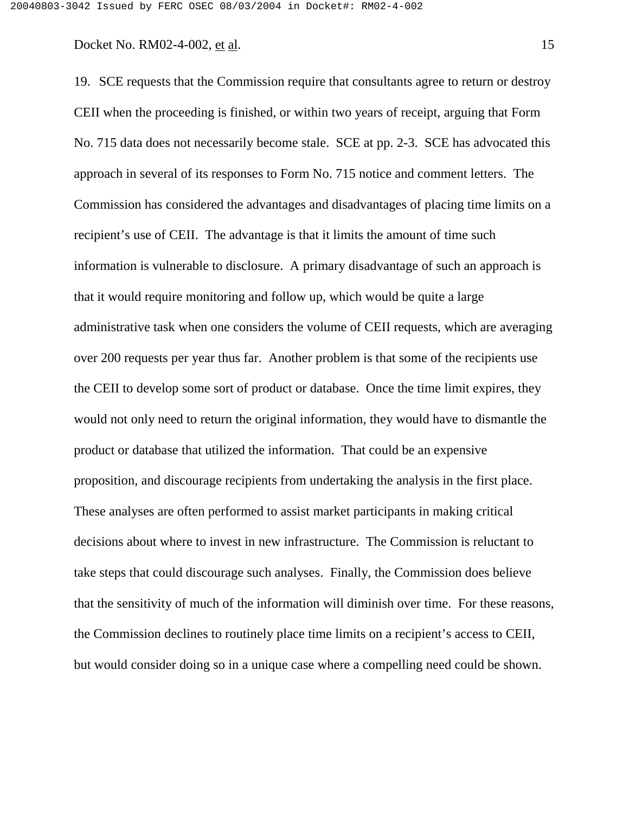19. SCE requests that the Commission require that consultants agree to return or destroy CEII when the proceeding is finished, or within two years of receipt, arguing that Form No. 715 data does not necessarily become stale. SCE at pp. 2-3. SCE has advocated this approach in several of its responses to Form No. 715 notice and comment letters. The Commission has considered the advantages and disadvantages of placing time limits on a recipient's use of CEII. The advantage is that it limits the amount of time such information is vulnerable to disclosure. A primary disadvantage of such an approach is that it would require monitoring and follow up, which would be quite a large administrative task when one considers the volume of CEII requests, which are averaging over 200 requests per year thus far. Another problem is that some of the recipients use the CEII to develop some sort of product or database. Once the time limit expires, they would not only need to return the original information, they would have to dismantle the product or database that utilized the information. That could be an expensive proposition, and discourage recipients from undertaking the analysis in the first place. These analyses are often performed to assist market participants in making critical decisions about where to invest in new infrastructure. The Commission is reluctant to take steps that could discourage such analyses. Finally, the Commission does believe that the sensitivity of much of the information will diminish over time. For these reasons, the Commission declines to routinely place time limits on a recipient's access to CEII,

but would consider doing so in a unique case where a compelling need could be shown.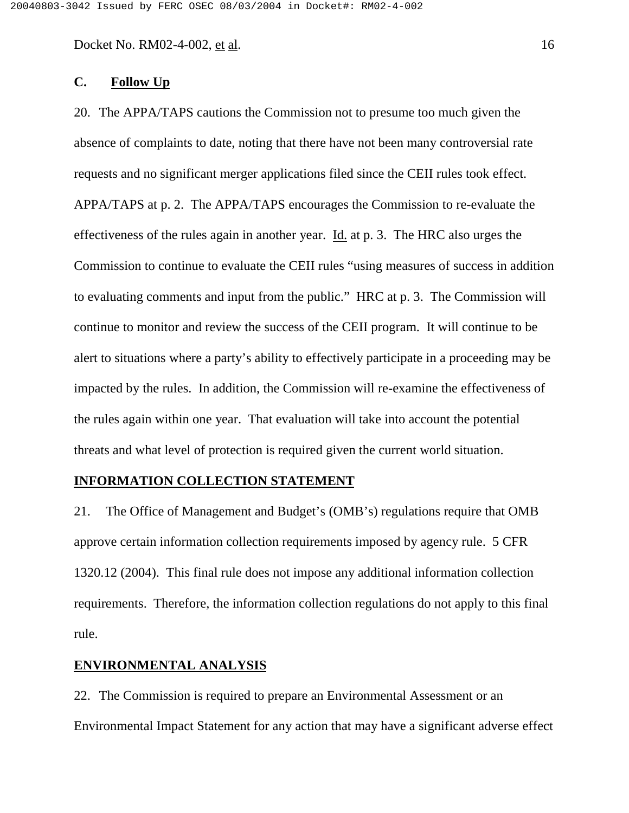# **C. Follow Up**

20. The APPA/TAPS cautions the Commission not to presume too much given the absence of complaints to date, noting that there have not been many controversial rate requests and no significant merger applications filed since the CEII rules took effect. APPA/TAPS at p. 2. The APPA/TAPS encourages the Commission to re-evaluate the effectiveness of the rules again in another year. Id. at p. 3. The HRC also urges the Commission to continue to evaluate the CEII rules "using measures of success in addition to evaluating comments and input from the public." HRC at p. 3. The Commission will continue to monitor and review the success of the CEII program. It will continue to be alert to situations where a party's ability to effectively participate in a proceeding may be impacted by the rules. In addition, the Commission will re-examine the effectiveness of the rules again within one year. That evaluation will take into account the potential threats and what level of protection is required given the current world situation.

### **INFORMATION COLLECTION STATEMENT**

21. The Office of Management and Budget's (OMB's) regulations require that OMB approve certain information collection requirements imposed by agency rule. 5 CFR 1320.12 (2004). This final rule does not impose any additional information collection requirements. Therefore, the information collection regulations do not apply to this final rule.

## **ENVIRONMENTAL ANALYSIS**

22. The Commission is required to prepare an Environmental Assessment or an Environmental Impact Statement for any action that may have a significant adverse effect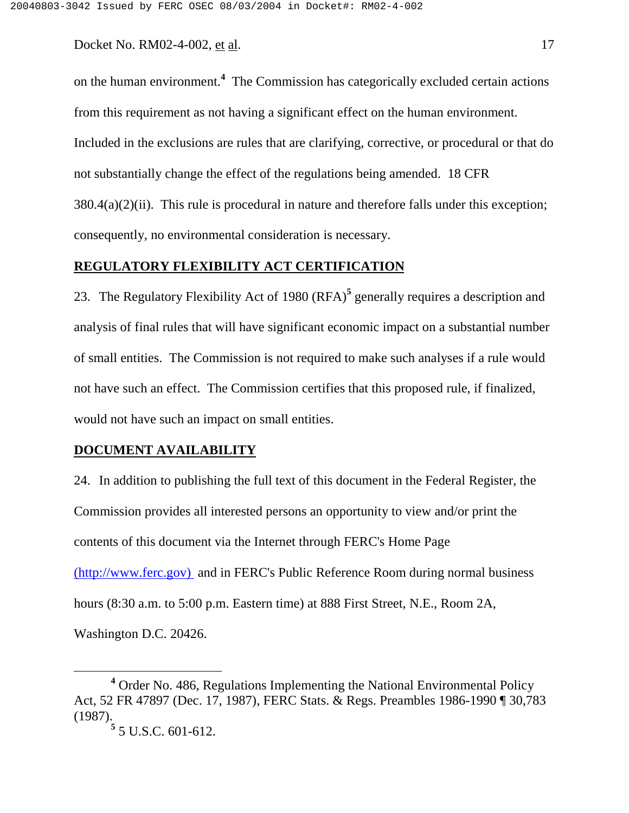on the human environment.**<sup>4</sup>** The Commission has categorically excluded certain actions from this requirement as not having a significant effect on the human environment. Included in the exclusions are rules that are clarifying, corrective, or procedural or that do not substantially change the effect of the regulations being amended. 18 CFR  $380.4(a)(2)(ii)$ . This rule is procedural in nature and therefore falls under this exception; consequently, no environmental consideration is necessary.

### **REGULATORY FLEXIBILITY ACT CERTIFICATION**

23. The Regulatory Flexibility Act of 1980 (RFA)**<sup>5</sup>** generally requires a description and analysis of final rules that will have significant economic impact on a substantial number of small entities. The Commission is not required to make such analyses if a rule would not have such an effect. The Commission certifies that this proposed rule, if finalized, would not have such an impact on small entities.

#### **DOCUMENT AVAILABILITY**

24. In addition to publishing the full text of this document in the Federal Register, the Commission provides all interested persons an opportunity to view and/or print the contents of this document via the Internet through FERC's Home Page (http://www.ferc.gov) and in FERC's Public Reference Room during normal business hours (8:30 a.m. to 5:00 p.m. Eastern time) at 888 First Street, N.E., Room 2A,

Washington D.C. 20426.

<sup>&</sup>lt;sup>4</sup> Order No. 486, Regulations Implementing the National Environmental Policy Act, 52 FR 47897 (Dec. 17, 1987), FERC Stats. & Regs. Preambles 1986-1990 ¶ 30,783 (1987). **5** 5 U.S.C. 601-612.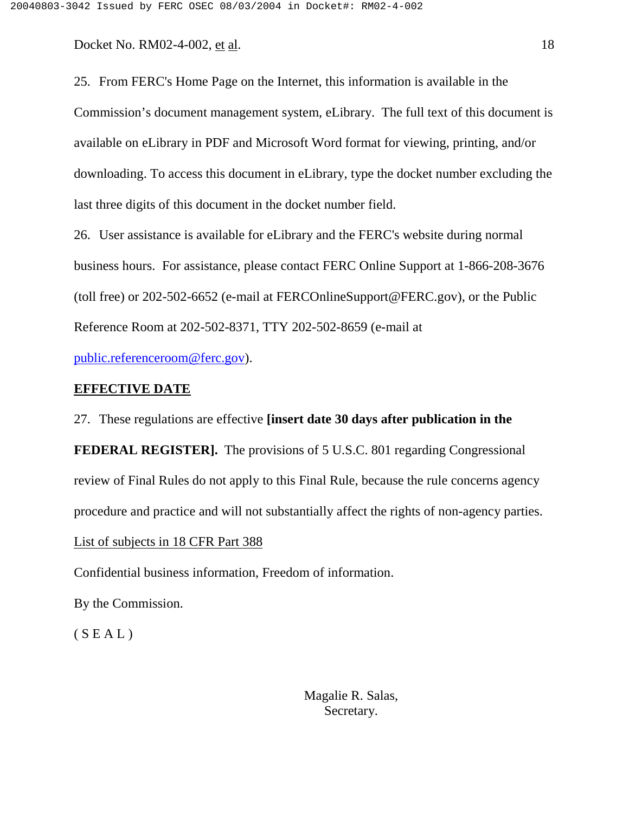25. From FERC's Home Page on the Internet, this information is available in the Commission's document management system, eLibrary. The full text of this document is available on eLibrary in PDF and Microsoft Word format for viewing, printing, and/or downloading. To access this document in eLibrary, type the docket number excluding the last three digits of this document in the docket number field.

26. User assistance is available for eLibrary and the FERC's website during normal business hours. For assistance, please contact FERC Online Support at 1-866-208-3676 (toll free) or 202-502-6652 (e-mail at FERCOnlineSupport@FERC.gov), or the Public Reference Room at 202-502-8371, TTY 202-502-8659 (e-mail at

public.referenceroom@ferc.gov).

## **EFFECTIVE DATE**

27. These regulations are effective **[insert date 30 days after publication in the FEDERAL REGISTER].** The provisions of 5 U.S.C. 801 regarding Congressional review of Final Rules do not apply to this Final Rule, because the rule concerns agency procedure and practice and will not substantially affect the rights of non-agency parties. List of subjects in 18 CFR Part 388

Confidential business information, Freedom of information.

By the Commission.

 $(S E A L)$ 

Magalie R. Salas, Secretary.